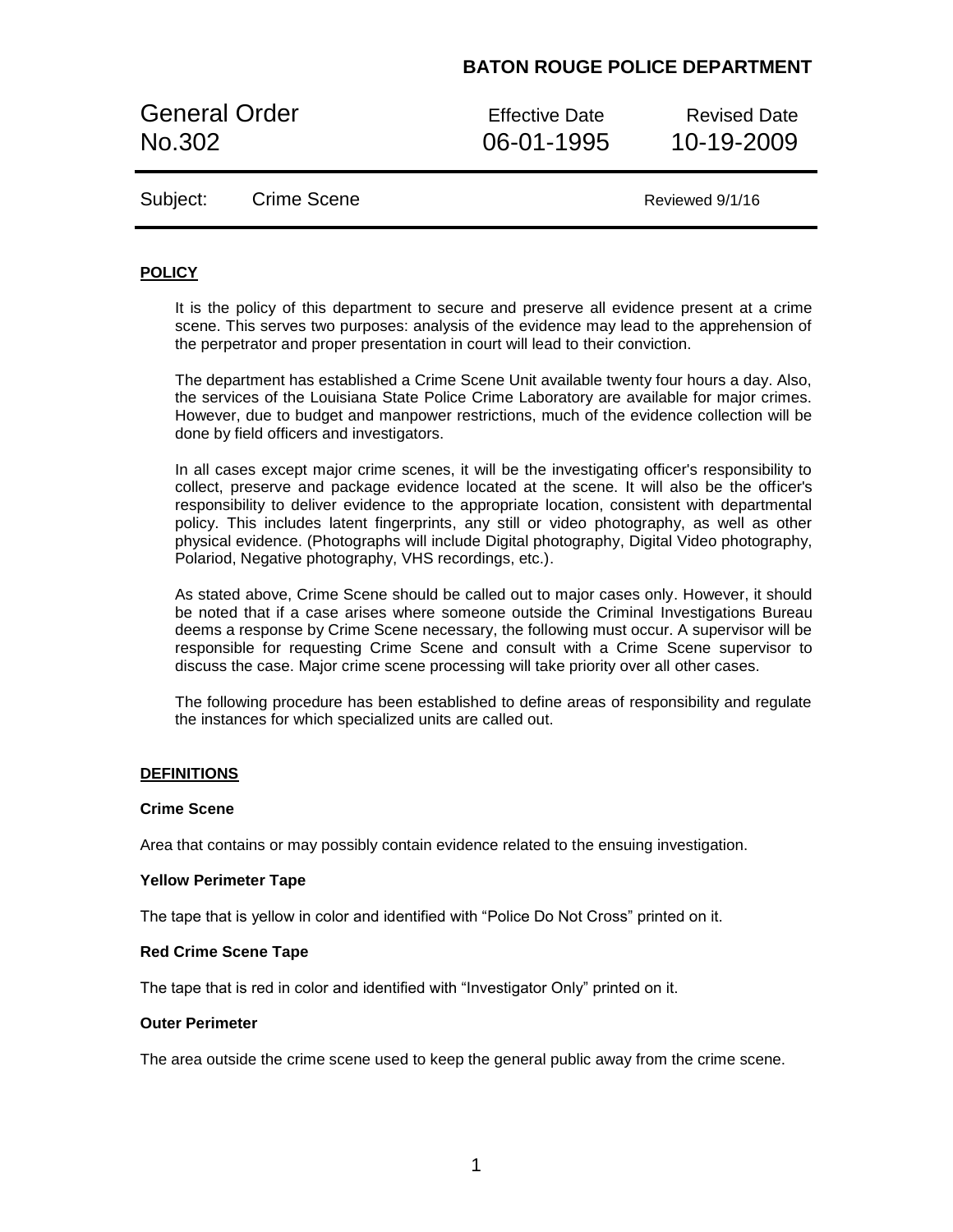General Order **Effective Date** Revised Date No.302 06-01-1995 10-19-2009

Subject: Crime Scene Crime Crime Canadian Reviewed 9/1/16

## **POLICY**

It is the policy of this department to secure and preserve all evidence present at a crime scene. This serves two purposes: analysis of the evidence may lead to the apprehension of the perpetrator and proper presentation in court will lead to their conviction.

The department has established a Crime Scene Unit available twenty four hours a day. Also, the services of the Louisiana State Police Crime Laboratory are available for major crimes. However, due to budget and manpower restrictions, much of the evidence collection will be done by field officers and investigators.

In all cases except major crime scenes, it will be the investigating officer's responsibility to collect, preserve and package evidence located at the scene. It will also be the officer's responsibility to deliver evidence to the appropriate location, consistent with departmental policy. This includes latent fingerprints, any still or video photography, as well as other physical evidence. (Photographs will include Digital photography, Digital Video photography, Polariod, Negative photography, VHS recordings, etc.).

As stated above, Crime Scene should be called out to major cases only. However, it should be noted that if a case arises where someone outside the Criminal Investigations Bureau deems a response by Crime Scene necessary, the following must occur. A supervisor will be responsible for requesting Crime Scene and consult with a Crime Scene supervisor to discuss the case. Major crime scene processing will take priority over all other cases.

The following procedure has been established to define areas of responsibility and regulate the instances for which specialized units are called out.

### **DEFINITIONS**

### **Crime Scene**

Area that contains or may possibly contain evidence related to the ensuing investigation.

### **Yellow Perimeter Tape**

The tape that is yellow in color and identified with "Police Do Not Cross" printed on it.

### **Red Crime Scene Tape**

The tape that is red in color and identified with "Investigator Only" printed on it.

### **Outer Perimeter**

The area outside the crime scene used to keep the general public away from the crime scene.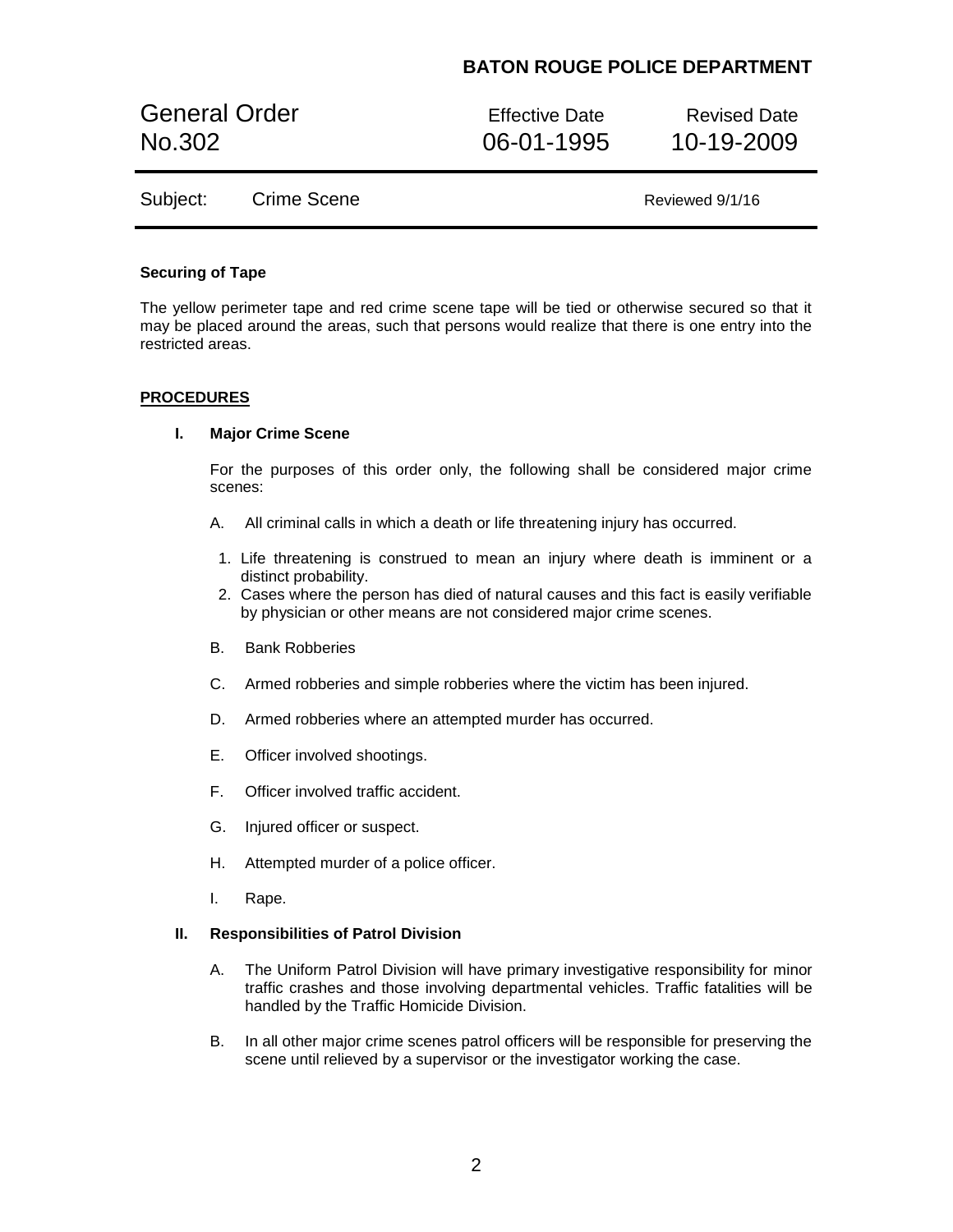General Order **Effective Date** Revised Date No.302 06-01-1995 10-19-2009

Subject: Crime Scene Crime Crime Cancel And All Reviewed 9/1/16

### **Securing of Tape**

The yellow perimeter tape and red crime scene tape will be tied or otherwise secured so that it may be placed around the areas, such that persons would realize that there is one entry into the restricted areas.

## **PROCEDURES**

### **I. Major Crime Scene**

For the purposes of this order only, the following shall be considered major crime scenes:

- A. All criminal calls in which a death or life threatening injury has occurred.
- 1. Life threatening is construed to mean an injury where death is imminent or a distinct probability.
- 2. Cases where the person has died of natural causes and this fact is easily verifiable by physician or other means are not considered major crime scenes.
- B. Bank Robberies
- C. Armed robberies and simple robberies where the victim has been injured.
- D. Armed robberies where an attempted murder has occurred.
- E. Officer involved shootings.
- F. Officer involved traffic accident.
- G. Injured officer or suspect.
- H. Attempted murder of a police officer.
- I. Rape.

## **II. Responsibilities of Patrol Division**

- A. The Uniform Patrol Division will have primary investigative responsibility for minor traffic crashes and those involving departmental vehicles. Traffic fatalities will be handled by the Traffic Homicide Division.
- B. In all other major crime scenes patrol officers will be responsible for preserving the scene until relieved by a supervisor or the investigator working the case.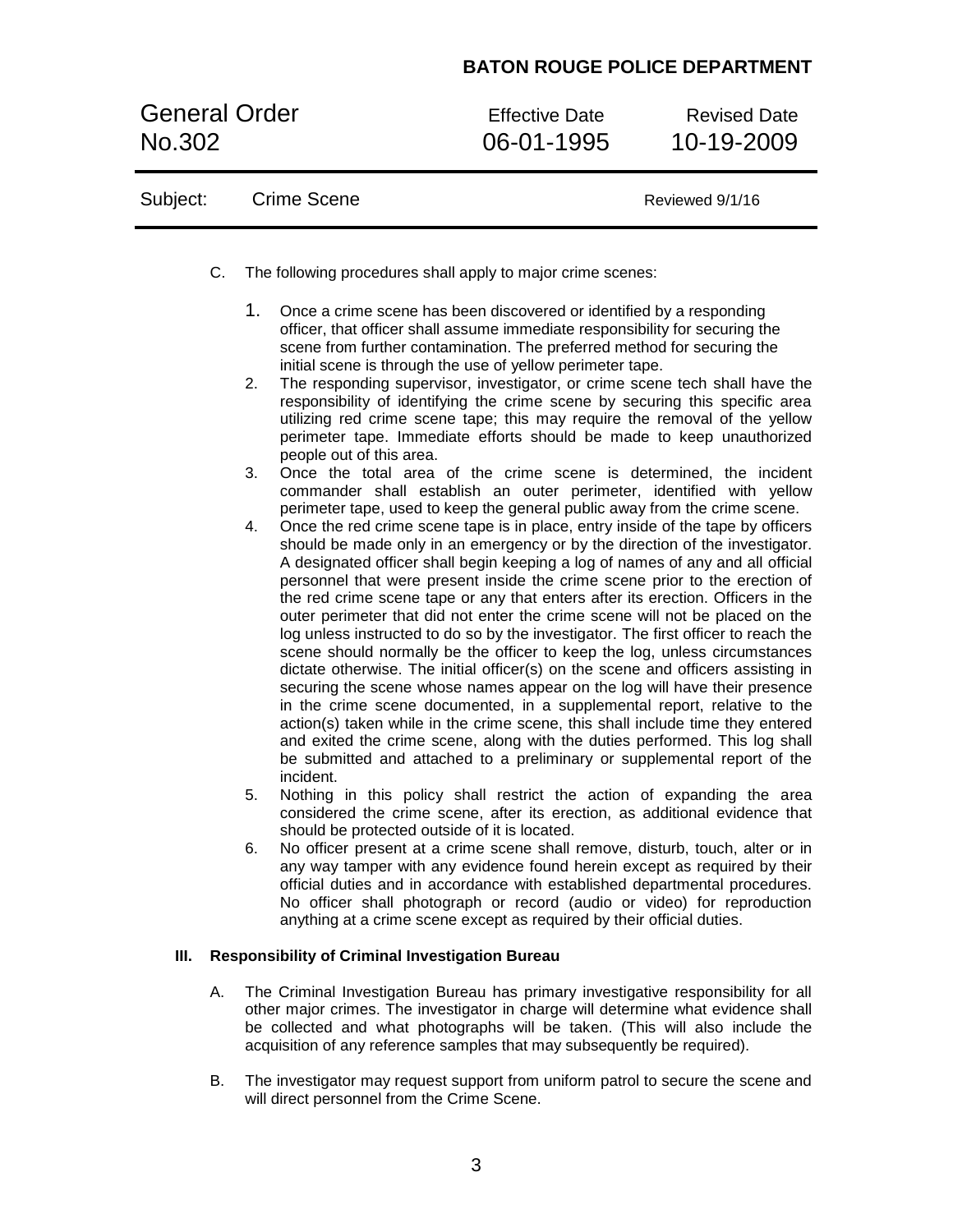General Order **Effective Date** Revised Date No.302 06-01-1995 10-19-2009

| Subject: | Crime Scene | Reviewed 9/1/16 |
|----------|-------------|-----------------|
|----------|-------------|-----------------|

- C. The following procedures shall apply to major crime scenes:
	- 1. Once a crime scene has been discovered or identified by a responding officer, that officer shall assume immediate responsibility for securing the scene from further contamination. The preferred method for securing the initial scene is through the use of yellow perimeter tape.
	- 2. The responding supervisor, investigator, or crime scene tech shall have the responsibility of identifying the crime scene by securing this specific area utilizing red crime scene tape; this may require the removal of the yellow perimeter tape. Immediate efforts should be made to keep unauthorized people out of this area.
	- 3. Once the total area of the crime scene is determined, the incident commander shall establish an outer perimeter, identified with yellow perimeter tape, used to keep the general public away from the crime scene.
	- 4. Once the red crime scene tape is in place, entry inside of the tape by officers should be made only in an emergency or by the direction of the investigator. A designated officer shall begin keeping a log of names of any and all official personnel that were present inside the crime scene prior to the erection of the red crime scene tape or any that enters after its erection. Officers in the outer perimeter that did not enter the crime scene will not be placed on the log unless instructed to do so by the investigator. The first officer to reach the scene should normally be the officer to keep the log, unless circumstances dictate otherwise. The initial officer(s) on the scene and officers assisting in securing the scene whose names appear on the log will have their presence in the crime scene documented, in a supplemental report, relative to the action(s) taken while in the crime scene, this shall include time they entered and exited the crime scene, along with the duties performed. This log shall be submitted and attached to a preliminary or supplemental report of the incident.
	- 5. Nothing in this policy shall restrict the action of expanding the area considered the crime scene, after its erection, as additional evidence that should be protected outside of it is located.
	- 6. No officer present at a crime scene shall remove, disturb, touch, alter or in any way tamper with any evidence found herein except as required by their official duties and in accordance with established departmental procedures. No officer shall photograph or record (audio or video) for reproduction anything at a crime scene except as required by their official duties.

## **III. Responsibility of Criminal Investigation Bureau**

- A. The Criminal Investigation Bureau has primary investigative responsibility for all other major crimes. The investigator in charge will determine what evidence shall be collected and what photographs will be taken. (This will also include the acquisition of any reference samples that may subsequently be required).
- B. The investigator may request support from uniform patrol to secure the scene and will direct personnel from the Crime Scene.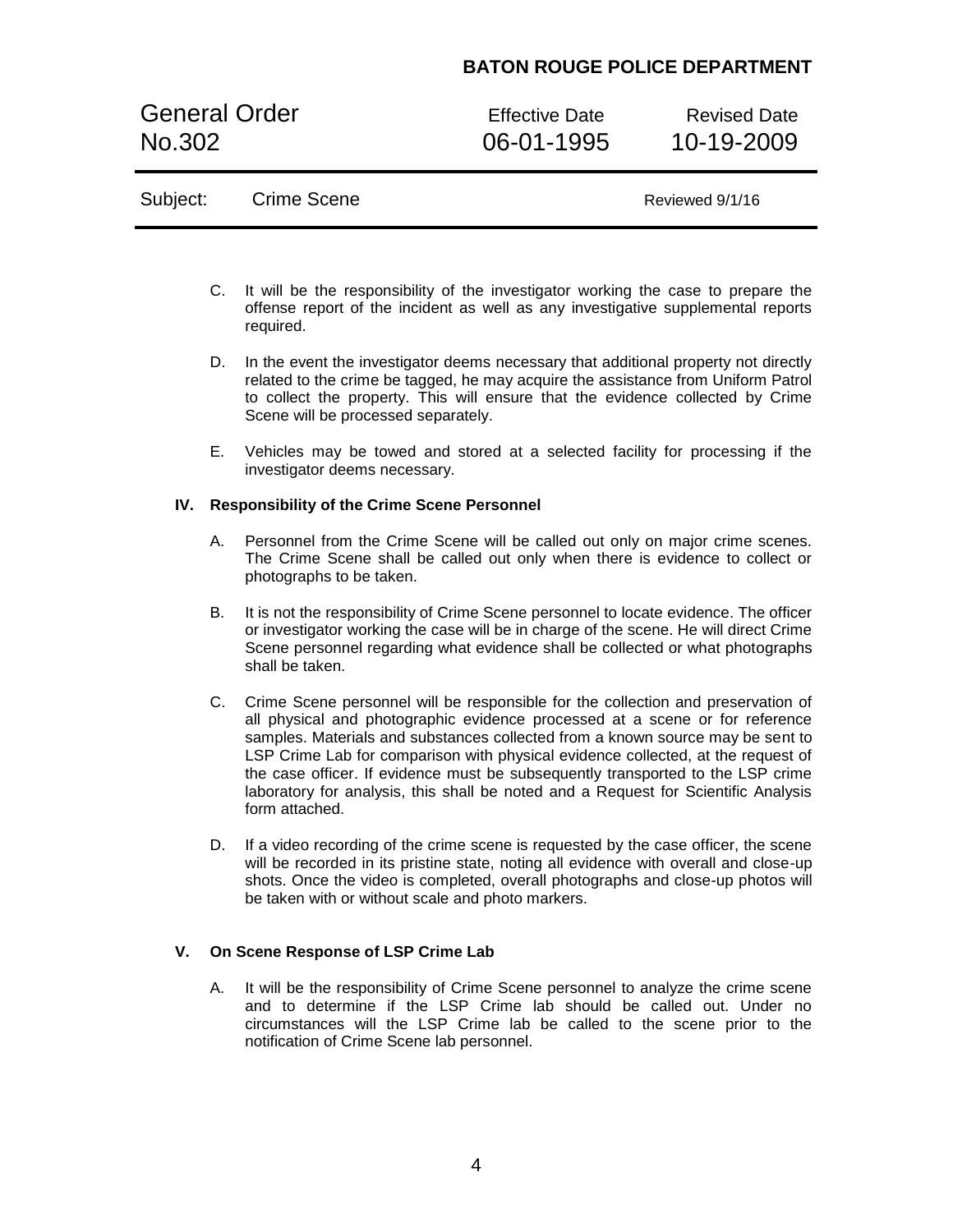General Order **Effective Date** Revised Date No.302 06-01-1995 10-19-2009

# Subject: Crime Scene Crime Crime Cancel And All Reviewed 9/1/16

- C. It will be the responsibility of the investigator working the case to prepare the offense report of the incident as well as any investigative supplemental reports required.
- D. In the event the investigator deems necessary that additional property not directly related to the crime be tagged, he may acquire the assistance from Uniform Patrol to collect the property. This will ensure that the evidence collected by Crime Scene will be processed separately.
- E. Vehicles may be towed and stored at a selected facility for processing if the investigator deems necessary.

## **IV. Responsibility of the Crime Scene Personnel**

- A. Personnel from the Crime Scene will be called out only on major crime scenes. The Crime Scene shall be called out only when there is evidence to collect or photographs to be taken.
- B. It is not the responsibility of Crime Scene personnel to locate evidence. The officer or investigator working the case will be in charge of the scene. He will direct Crime Scene personnel regarding what evidence shall be collected or what photographs shall be taken.
- C. Crime Scene personnel will be responsible for the collection and preservation of all physical and photographic evidence processed at a scene or for reference samples. Materials and substances collected from a known source may be sent to LSP Crime Lab for comparison with physical evidence collected, at the request of the case officer. If evidence must be subsequently transported to the LSP crime laboratory for analysis, this shall be noted and a Request for Scientific Analysis form attached.
- D. If a video recording of the crime scene is requested by the case officer, the scene will be recorded in its pristine state, noting all evidence with overall and close-up shots. Once the video is completed, overall photographs and close-up photos will be taken with or without scale and photo markers.

## **V. On Scene Response of LSP Crime Lab**

A. It will be the responsibility of Crime Scene personnel to analyze the crime scene and to determine if the LSP Crime lab should be called out. Under no circumstances will the LSP Crime lab be called to the scene prior to the notification of Crime Scene lab personnel.